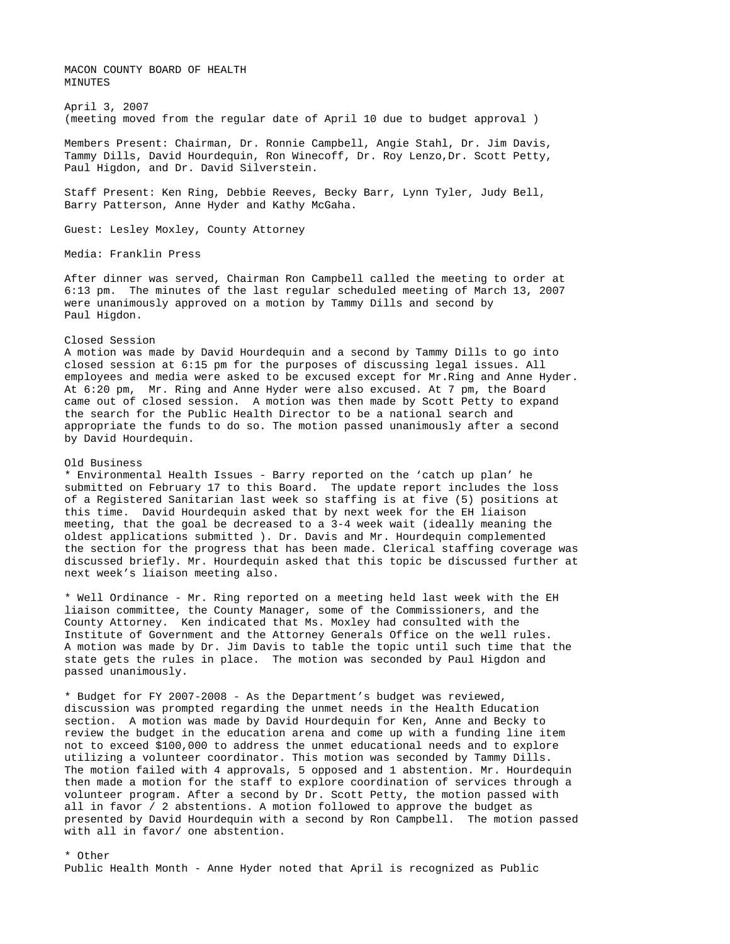MACON COUNTY BOARD OF HEALTH MINUTES

April 3, 2007 (meeting moved from the regular date of April 10 due to budget approval )

Members Present: Chairman, Dr. Ronnie Campbell, Angie Stahl, Dr. Jim Davis, Tammy Dills, David Hourdequin, Ron Winecoff, Dr. Roy Lenzo,Dr. Scott Petty, Paul Higdon, and Dr. David Silverstein.

Staff Present: Ken Ring, Debbie Reeves, Becky Barr, Lynn Tyler, Judy Bell, Barry Patterson, Anne Hyder and Kathy McGaha.

Guest: Lesley Moxley, County Attorney

Media: Franklin Press

After dinner was served, Chairman Ron Campbell called the meeting to order at 6:13 pm. The minutes of the last regular scheduled meeting of March 13, 2007 were unanimously approved on a motion by Tammy Dills and second by Paul Higdon.

## Closed Session

A motion was made by David Hourdequin and a second by Tammy Dills to go into closed session at 6:15 pm for the purposes of discussing legal issues. All employees and media were asked to be excused except for Mr.Ring and Anne Hyder. At 6:20 pm, Mr. Ring and Anne Hyder were also excused. At 7 pm, the Board came out of closed session. A motion was then made by Scott Petty to expand the search for the Public Health Director to be a national search and appropriate the funds to do so. The motion passed unanimously after a second by David Hourdequin.

## Old Business

\* Environmental Health Issues - Barry reported on the 'catch up plan' he submitted on February 17 to this Board. The update report includes the loss of a Registered Sanitarian last week so staffing is at five (5) positions at this time. David Hourdequin asked that by next week for the EH liaison meeting, that the goal be decreased to a 3-4 week wait (ideally meaning the oldest applications submitted ). Dr. Davis and Mr. Hourdequin complemented the section for the progress that has been made. Clerical staffing coverage was discussed briefly. Mr. Hourdequin asked that this topic be discussed further at next week's liaison meeting also.

\* Well Ordinance - Mr. Ring reported on a meeting held last week with the EH liaison committee, the County Manager, some of the Commissioners, and the County Attorney. Ken indicated that Ms. Moxley had consulted with the Institute of Government and the Attorney Generals Office on the well rules. A motion was made by Dr. Jim Davis to table the topic until such time that the state gets the rules in place. The motion was seconded by Paul Higdon and passed unanimously.

\* Budget for FY 2007-2008 - As the Department's budget was reviewed, discussion was prompted regarding the unmet needs in the Health Education section. A motion was made by David Hourdequin for Ken, Anne and Becky to review the budget in the education arena and come up with a funding line item not to exceed \$100,000 to address the unmet educational needs and to explore utilizing a volunteer coordinator. This motion was seconded by Tammy Dills. The motion failed with 4 approvals, 5 opposed and 1 abstention. Mr. Hourdequin then made a motion for the staff to explore coordination of services through a volunteer program. After a second by Dr. Scott Petty, the motion passed with all in favor / 2 abstentions. A motion followed to approve the budget as presented by David Hourdequin with a second by Ron Campbell. The motion passed with all in favor/ one abstention.

\* Other Public Health Month - Anne Hyder noted that April is recognized as Public